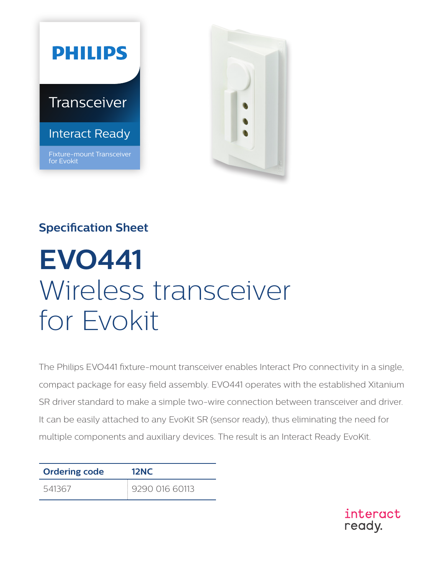



## **Specification Sheet**

# **EVO441**  Wireless transceiver for Evokit

The Philips EVO441 fixture-mount transceiver enables Interact Pro connectivity in a single, compact package for easy field assembly. EVO441 operates with the established Xitanium SR driver standard to make a simple two-wire connection between transceiver and driver. It can be easily attached to any EvoKit SR (sensor ready), thus eliminating the need for multiple components and auxiliary devices. The result is an Interact Ready EvoKit.

| <b>Ordering code</b> | <b>12NC</b>    |  |
|----------------------|----------------|--|
| 541367               | 9290 016 60113 |  |

interact ready.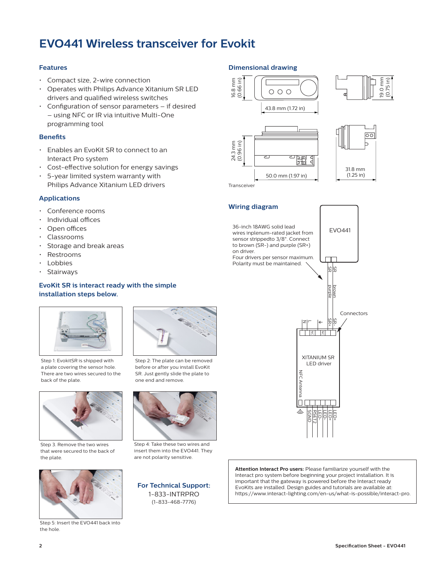### **EVO441 Wireless transceiver for Evokit**

### **Features**

- Compact size, 2-wire connection
- Operates with Philips Advance Xitanium SR LED drivers and qualified wireless switches
- Configuration of sensor parameters if desired – using NFC or IR via intuitive Multi-One programming tool

#### **Benefits**

- Enables an EvoKit SR to connect to an Interact Pro system
- Cost-effective solution for energy savings
- 5-year limited system warranty with Philips Advance Xitanium LED drivers

### **Applications**

- Conference rooms
- Individual offices
- Open offices
- Classrooms
- Storage and break areas
- Restrooms
- Lobbies
- Stairways

### **EvoKit SR is interact ready with the simple installation steps below.**



Step 1: EvokitSR is shipped with a plate covering the sensor hole. There are two wires secured to the back of the plate.



Step 3. Remove the two wires that were secured to the back of the plate.



Step 5: Insert the EVO441 back into the hole.



Step 2: The plate can be removed before or after you install EvoKit SR. Just gently slide the plate to one end and remove.



Step 4: Take these two wires and insert them into the EVO441. They are not polarity sensitive.

**For Technical Support:**  1-833-INTRPRO (1-833-468-7776)

### **Dimensional drawing**





Transceiver

**Wiring diagram**



19.0 mm (0.75 in)

36-inch 18AWG solid lead EVO441 wires inplenum-rated jacket from sensor strippedto 3/8". Connect to brown (SR-) and purple (SR+) on driver. Four drivers per sensor maximum. Polarity must be maintained. SR SR+ SR+ SR+ SR+ 앆 SR brown purple Connectors SR-Z  $\overline{\phantom{a}}$ NC NC XITANIUM SR LED driver NFC Antenna **NFC Antenna**  $\Box$ SGND RSET2 LED-LED-LED+ LED+

**Attention Interact Pro users:** Please familiarize yourself with the Interact pro system before beginning your project installation. It is important that the gateway is powered before the Interact ready EvoKits are installed. Design guides and tutorials are available at: https://www.interact-lighting.com/en-us/what-is-possible/interact-pro.